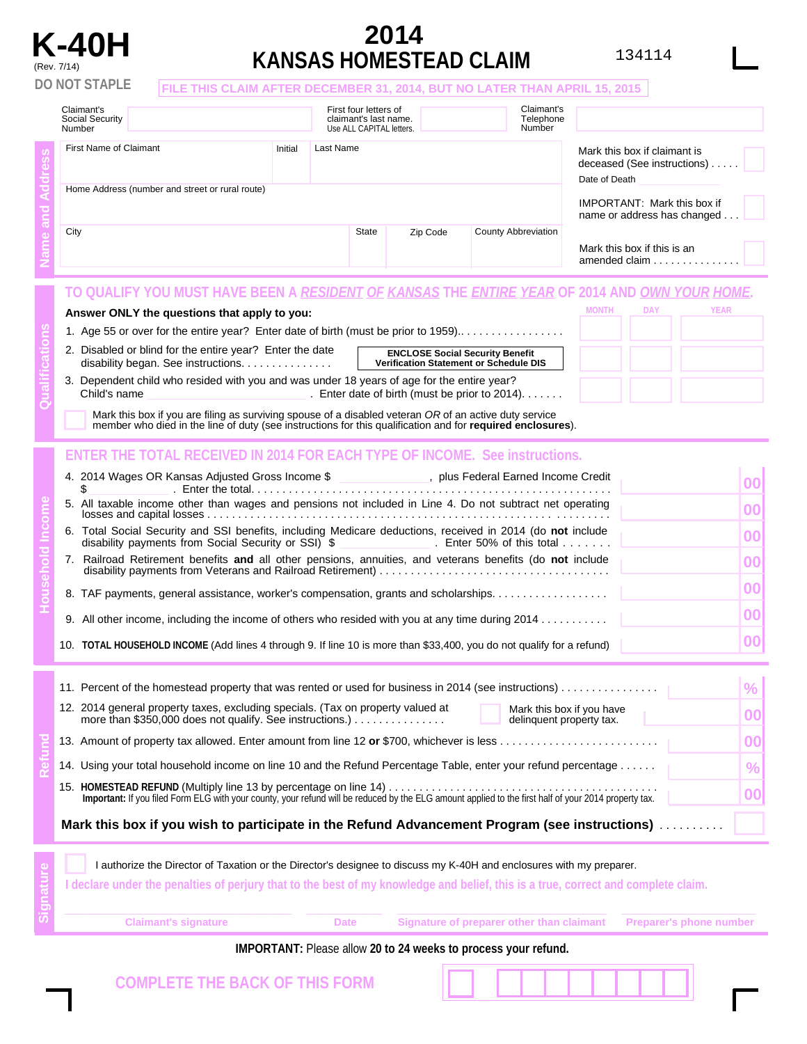## **2014 K-40H** <sup>134114</sup> (Rev. 7/14) **KANSAS HOMESTEAD CLAIM**

| Claimant's<br>Social Security<br>Number                 |                                                                                                                     |         |           | First four letters of<br>claimant's last name.<br>Use ALL CAPITAL letters. |                                        | Claimant's<br>Telephone<br>Number              |                                                             |                                                                                    |               |  |
|---------------------------------------------------------|---------------------------------------------------------------------------------------------------------------------|---------|-----------|----------------------------------------------------------------------------|----------------------------------------|------------------------------------------------|-------------------------------------------------------------|------------------------------------------------------------------------------------|---------------|--|
| First Name of Claimant                                  |                                                                                                                     | Initial | Last Name |                                                                            |                                        |                                                | Mark this box if claimant is<br>deceased (See instructions) |                                                                                    |               |  |
|                                                         | Home Address (number and street or rural route)                                                                     |         |           |                                                                            |                                        |                                                |                                                             | Date of Death<br><b>IMPORTANT:</b> Mark this box if<br>name or address has changed |               |  |
| City<br><b>State</b><br>Zip Code<br>County Abbreviation |                                                                                                                     |         |           |                                                                            |                                        |                                                |                                                             |                                                                                    |               |  |
|                                                         |                                                                                                                     |         |           |                                                                            |                                        |                                                |                                                             | Mark this box if this is an                                                        | amended claim |  |
|                                                         | TO QUALIFY YOU MUST HAVE BEEN A <i>RESIDENT OF KANSAS</i> THE <i>ENTIRE YEAR</i> OF 2014 AND <i>OWN YOUR HOME</i> . |         |           |                                                                            |                                        |                                                |                                                             |                                                                                    |               |  |
|                                                         | Answer ONLY the questions that apply to you:                                                                        |         |           |                                                                            |                                        |                                                | <b>MONTH</b>                                                | <b>DAY</b>                                                                         | <b>YEAR</b>   |  |
|                                                         | 1. Age 55 or over for the entire year? Enter date of birth (must be prior to 1959)                                  |         |           |                                                                            |                                        |                                                |                                                             |                                                                                    |               |  |
|                                                         | 2. Disabled or blind for the entire year? Enter the date<br>disability began. See instructions.                     |         |           |                                                                            | <b>ENCLOSE Social Security Benefit</b> | <b>Verification Statement or Schedule DIS</b>  |                                                             |                                                                                    |               |  |
| Child's name                                            | 3. Dependent child who resided with you and was under 18 years of age for the entire year?                          |         |           |                                                                            |                                        | . Enter date of birth (must be prior to 2014). |                                                             |                                                                                    |               |  |

| ., plus Federal Earned Income Credit                                                                                                                                                            |  |
|-------------------------------------------------------------------------------------------------------------------------------------------------------------------------------------------------|--|
| 5. All taxable income other than wages and pensions not included in Line 4. Do not subtract net operating                                                                                       |  |
| 6. Total Social Security and SSI benefits, including Medicare deductions, received in 2014 (do not include<br>disability payments from Social Security or SSI) \$ First Enter 50% of this total |  |
| 7. Railroad Retirement benefits and all other pensions, annuities, and veterans benefits (do not include                                                                                        |  |
| 8. TAF payments, general assistance, worker's compensation, grants and scholarships                                                                                                             |  |
| 9. All other income, including the income of others who resided with you at any time during 2014                                                                                                |  |
| 10. TOTAL HOUSEHOLD INCOME (Add lines 4 through 9. If line 10 is more than \$33,400, you do not qualify for a refund)                                                                           |  |

|  | 11. Percent of the homestead property that was rented or used for business in 2014 (see instructions)                                                                                                |     |  |  |  |  |
|--|------------------------------------------------------------------------------------------------------------------------------------------------------------------------------------------------------|-----|--|--|--|--|
|  | 12. 2014 general property taxes, excluding specials. (Tax on property valued at<br>Mark this box if you have<br>more than \$350,000 does not qualify. See instructions.)<br>delinquent property tax. |     |  |  |  |  |
|  | 13. Amount of property tax allowed. Enter amount from line 12 or \$700, whichever is less                                                                                                            | nni |  |  |  |  |
|  | 14. Using your total household income on line 10 and the Refund Percentage Table, enter your refund percentage                                                                                       | %   |  |  |  |  |
|  |                                                                                                                                                                                                      |     |  |  |  |  |
|  | Mark this box if you wish to participate in the Refund Advancement Program (see instructions)                                                                                                        |     |  |  |  |  |

**Signature**  I authorize the Director of Taxation or the Director's designee to discuss my K-40H and enclosures with my preparer. I declare under the penalties of perjury that to the best of my knowledge and belief, this is a true, correct and complete claim. **Claimant's signature Date Signature of preparer other than claimant Preparer's phone number** 

## **IMPORTANT:** Please allow **20 to 24 weeks to process your refund.**